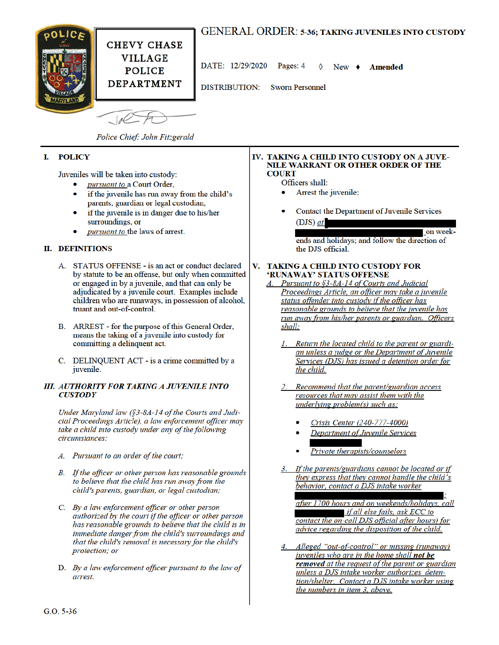

# **GENERAL ORDER: 5-36; TAKING JUVENILES INTO CUSTODY**

DATE: 12/29/2020 Pages: 4 New  $\bullet$ **Amended** 

**Sworn Personnel** 

**DISTRIBUTION:** 

 $1/2$ 

Police Chief: John Fitzgerald

#### **POLICY** I.

Juveniles will be taken into custody:

- pursuant to a Court Order,
- if the juvenile has run away from the child's parents, guardian or legal custodian,
- if the juvenile is in danger due to his/her surroundings, or
- pursuant to the laws of arrest.

## **II. DEFINITIONS**

- A. STATUS OFFENSE is an act or conduct declared by statute to be an offense, but only when committed or engaged in by a juvenile, and that can only be adjudicated by a juvenile court. Examples include children who are runaways, in possession of alcohol, truant and out-of-control.
- B. ARREST for the purpose of this General Order, means the taking of a juvenile into custody for committing a delinquent act.
- C. DELINQUENT ACT is a crime committed by a juvenile.

## **III. AUTHORITY FOR TAKING A JUVENILE INTO CUSTODY**

Under Maryland law (§3-8A-14 of the Courts and Judicial Proceedings Article), a law enforcement officer may take a child into custody under any of the following circumstances:

- A. Pursuant to an order of the court;
- B. If the officer or other person has reasonable grounds to believe that the child has run away from the child's parents, guardian, or legal custodian;
- C. By a law enforcement officer or other person authorized by the court if the officer or other person has reasonable grounds to believe that the child is in immediate danger from the child's surroundings and that the child's removal is necessary for the child's protection; or
- D. By a law enforcement officer pursuant to the law of arrest.

### IV. TAKING A CHILD INTO CUSTODY ON A JUVE-NILE WARRANT OR OTHER ORDER OF THE **COURT**

### Officers shall:

- Arrest the juvenile;
- Contact the Department of Juvenile Services  $(DJS)$  at

on weekends and holidays; and follow the direction of the DJS official.

### **TAKING A CHILD INTO CUSTODY FOR** V. 'RUNAWAY' STATUS OFFENSE

### Pursuant to §3-8A-14 of Courts and Judicial Proceedings Article, an officer may take a juvenile status offender into custody if the officer has reasonable grounds to believe that the juvenile has run away from his/her parents or guardian. Officers shall:

- 1. Return the located child to the parent or guardian unless a judge or the Department of Juvenile Services (DJS) has issued a detention order for the child.
- Recommend that the parent/guardian access resources that may assist them with the underlying problem(s) such as:
	- Crisis Center (240-777-4000)
	- Department of Juvenile Services
	- Private therapists/counselors
- 3. If the parents/guardians cannot be located or if they express that they cannot handle the child's behavior, contact a DJS intake worker

after 1700 hours and on weekends/holidays, call if all else fails, ask ECC to contact the on-call DJS official after hours) for advice regarding the disposition of the child.

Alleged "out-of-control" or missing (runaway)<br>juveniles who are in the home shall **not be** removed at the request of the parent or guardian unless a DJS intake worker authorizes detention/shelter. Contact a DJS intake worker using the numbers in item 3, above.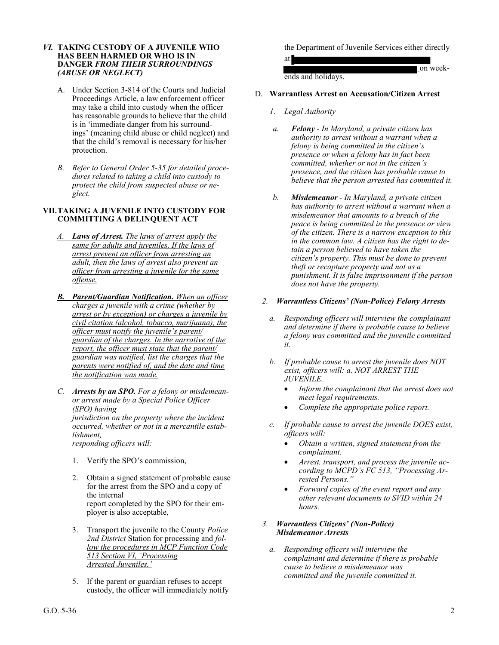### *VI.* **TAKING CUSTODY OF A JUVENILE WHO HAS BEEN HARMED OR WHO IS IN DANGER** *FROM THEIR SURROUNDINGS (ABUSE OR NEGLECT)*

- A. Under Section 3-814 of the Courts and Judicial Proceedings Article, a law enforcement officer may take a child into custody when the officer has reasonable grounds to believe that the child is in 'immediate danger from his surroundings' (meaning child abuse or child neglect) and that the child's removal is necessary for his/her protection.
- *B. Refer to General Order 5-35 for detailed procedures related to taking a child into custody to protect the child from suspected abuse or neglect.*

## **VII.TAKING A JUVENILE INTO CUSTODY FOR COMMITTING A DELINQUENT ACT**

- *A. Laws of Arrest. The laws of arrest apply the same for adults and juveniles. If the laws of arrest prevent an officer from arresting an adult, then the laws of arrest also prevent an officer from arresting a juvenile for the same offense.*
- *B. Parent/Guardian Notification. When an officer charges a juvenile with a crime (whether by arrest or by exception) or charges a juvenile by civil citation (alcohol, tobacco, marijuana), the officer must notify the juvenile's parent/ guardian of the charges. In the narrative of the report, the officer must state that the parent/ guardian was notified, list the charges that the parents were notified of, and the date and time the notification was made.*
- *C. Arrests by an SPO. For a felony or misdemeanor arrest made by a Special Police Officer (SPO) having jurisdiction on the property where the incident occurred, whether or not in a mercantile establishment, responding officers will:*
	- 1. Verify the SPO's commission,
	- 2. Obtain a signed statement of probable cause for the arrest from the SPO and a copy of the internal report completed by the SPO for their employer is also acceptable,
	- 3. Transport the juvenile to the County *Police 2nd District* Station for processing and *follow the procedures in MCP Function Code 513 Section VI, 'Processing Arrested Juveniles.'*
	- 5. If the parent or guardian refuses to accept custody, the officer will immediately notify

the Department of Juvenile Services either directly

at on weekends and holidays.

- D. **Warrantless Arrest on Accusation/Citizen Arrest** 
	- *1. Legal Authority*
	- *a. Felony - In Maryland, a private citizen has authority to arrest without a warrant when a felony is being committed in the citizen's presence or when a felony has in fact been committed, whether or not in the citizen's presence, and the citizen has probable cause to believe that the person arrested has committed it.*
	- *b. Misdemeanor - In Maryland, a private citizen has authority to arrest without a warrant when a misdemeanor that amounts to a breach of the peace is being committed in the presence or view of the citizen. There is a narrow exception to this in the common law. A citizen has the right to detain a person believed to have taken the citizen's property. This must be done to prevent theft or recapture property and not as a punishment. It is false imprisonment if the person does not have the property.*

## *2. Warrantless Citizens' (Non-Police) Felony Arrests*

- *a. Responding officers will interview the complainant and determine if there is probable cause to believe a felony was committed and the juvenile committed it.*
- *b. If probable cause to arrest the juvenile does NOT exist, officers will: a. NOT ARREST THE JUVENILE.* 
	- *Inform the complainant that the arrest does not meet legal requirements.*
	- *Complete the appropriate police report.*
- *c. If probable cause to arrest the juvenile DOES exist, officers will:* 
	- *Obtain a written, signed statement from the complainant.*
	- *Arrest, transport, and process the juvenile according to MCPD's FC 513, "Processing Arrested Persons."*
	- *Forward copies of the event report and any other relevant documents to SVID within 24 hours.*
- *3. Warrantless Citizens' (Non-Police) Misdemeanor Arrests* 
	- *a. Responding officers will interview the complainant and determine if there is probable cause to believe a misdemeanor was committed and the juvenile committed it.*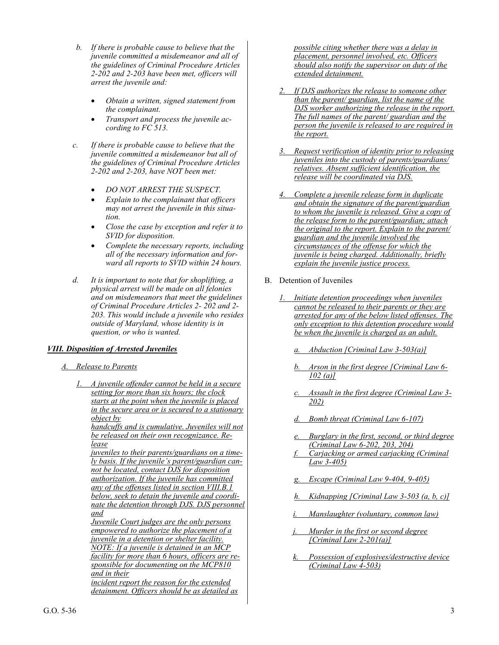- *b. If there is probable cause to believe that the juvenile committed a misdemeanor and all of the guidelines of Criminal Procedure Articles 2-202 and 2-203 have been met, officers will arrest the juvenile and:* 
	- *Obtain a written, signed statement from the complainant.*
	- *Transport and process the juvenile according to FC 513.*
- *c. If there is probable cause to believe that the juvenile committed a misdemeanor but all of the guidelines of Criminal Procedure Articles 2-202 and 2-203, have NOT been met:* 
	- *DO NOT ARREST THE SUSPECT.*
	- *Explain to the complainant that officers may not arrest the juvenile in this situation.*
	- *Close the case by exception and refer it to SVID for disposition.*
	- *Complete the necessary reports, including all of the necessary information and forward all reports to SVID within 24 hours.*
- *d. It is important to note that for shoplifting, a physical arrest will be made on all felonies and on misdemeanors that meet the guidelines of Criminal Procedure Articles 2- 202 and 2- 203. This would include a juvenile who resides outside of Maryland, whose identity is in question, or who is wanted.*

## *VIII. Disposition of Arrested Juveniles*

- *A. Release to Parents* 
	- *1. A juvenile offender cannot be held in a secure setting for more than six hours; the clock starts at the point when the juvenile is placed in the secure area or is secured to a stationary object by handcuffs and is cumulative. Juveniles will not be released on their own recognizance. Release juveniles to their parents/guardians on a timely basis. If the juvenile's parent/guardian cannot be located, contact DJS for disposition authorization. If the juvenile has committed any of the offenses listed in section VIII.B.1 below, seek to detain the juvenile and coordinate the detention through DJS. DJS personnel and Juvenile Court judges are the only persons empowered to authorize the placement of a juvenile in a detention or shelter facility. NOTE: If a juvenile is detained in an MCP facility for more than 6 hours, officers are responsible for documenting on the MCP810 and in their incident report the reason for the extended detainment. Officers should be as detailed as*

*possible citing whether there was a delay in placement, personnel involved, etc. Officers should also notify the supervisor on duty of the extended detainment.* 

- *2. If DJS authorizes the release to someone other than the parent/ guardian, list the name of the DJS worker authorizing the release in the report. The full names of the parent/ guardian and the person the juvenile is released to are required in the report.*
- *3. Request verification of identity prior to releasing juveniles into the custody of parents/guardians/ relatives. Absent sufficient identification, the release will be coordinated via DJS.*
- *4. Complete a juvenile release form in duplicate and obtain the signature of the parent/guardian to whom the juvenile is released. Give a copy of the release form to the parent/guardian; attach the original to the report. Explain to the parent/ guardian and the juvenile involved the circumstances of the offense for which the juvenile is being charged. Additionally, briefly explain the juvenile justice process.*
- B. Detention of Juveniles
	- *1. Initiate detention proceedings when juveniles cannot be released to their parents or they are arrested for any of the below listed offenses. The only exception to this detention procedure would be when the juvenile is charged as an adult.* 
		- *a. Abduction [Criminal Law 3-503(a)]*
		- *b. Arson in the first degree [Criminal Law 6- 102 (a)]*
		- *c. Assault in the first degree (Criminal Law 3- 202)*
		- *d. Bomb threat (Criminal Law 6-107)*
		- *e. Burglary in the first, second, or third degree (Criminal Law 6-202, 203, 204)*
		- *f. Carjacking or armed carjacking (Criminal Law 3-405)*
		- *g. Escape (Criminal Law 9-404, 9-405)*
		- *h. Kidnapping [Criminal Law 3-503 (a, b, c)]*
		- *i. Manslaughter (voluntary, common law)*
		- *j. Murder in the first or second degree [Criminal Law 2-201(a)]*
		- *k. Possession of explosives/destructive device (Criminal Law 4-503)*